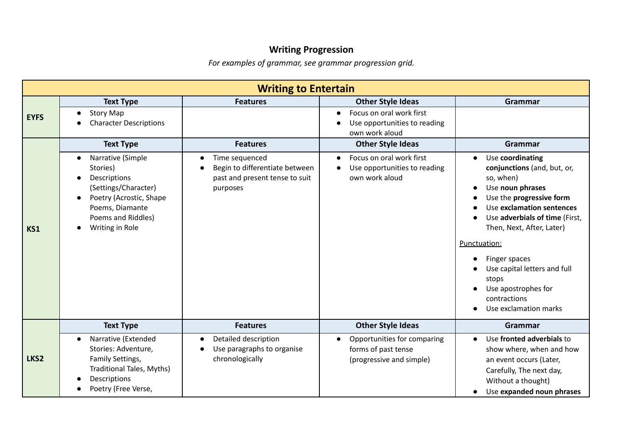## **Writing Progression**

*For examples of grammar, see grammar progression grid.*

|             | <b>Writing to Entertain</b>                                                                                                                                                                         |                                                                                                |                                                                                                                     |                                                                                                                                                                                                                                                                                                                                                                 |  |  |
|-------------|-----------------------------------------------------------------------------------------------------------------------------------------------------------------------------------------------------|------------------------------------------------------------------------------------------------|---------------------------------------------------------------------------------------------------------------------|-----------------------------------------------------------------------------------------------------------------------------------------------------------------------------------------------------------------------------------------------------------------------------------------------------------------------------------------------------------------|--|--|
| <b>EYFS</b> | <b>Text Type</b><br><b>Story Map</b><br>$\bullet$<br><b>Character Descriptions</b>                                                                                                                  | <b>Features</b>                                                                                | <b>Other Style Ideas</b><br>Focus on oral work first<br>$\bullet$<br>Use opportunities to reading<br>own work aloud | <b>Grammar</b>                                                                                                                                                                                                                                                                                                                                                  |  |  |
|             | <b>Text Type</b>                                                                                                                                                                                    | <b>Features</b>                                                                                | <b>Other Style Ideas</b>                                                                                            | Grammar                                                                                                                                                                                                                                                                                                                                                         |  |  |
| KS1         | Narrative (Simple<br>$\bullet$<br>Stories)<br>Descriptions<br>$\bullet$<br>(Settings/Character)<br>Poetry (Acrostic, Shape<br>$\bullet$<br>Poems, Diamante<br>Poems and Riddles)<br>Writing in Role | Time sequenced<br>Begin to differentiate between<br>past and present tense to suit<br>purposes | Focus on oral work first<br>Use opportunities to reading<br>own work aloud                                          | Use coordinating<br>conjunctions (and, but, or,<br>so, when)<br>Use noun phrases<br>$\bullet$<br>Use the progressive form<br>Use exclamation sentences<br>Use adverbials of time (First,<br>Then, Next, After, Later)<br>Punctuation:<br>Finger spaces<br>Use capital letters and full<br>stops<br>Use apostrophes for<br>contractions<br>Use exclamation marks |  |  |
|             | <b>Text Type</b>                                                                                                                                                                                    | <b>Features</b>                                                                                | <b>Other Style Ideas</b>                                                                                            | Grammar                                                                                                                                                                                                                                                                                                                                                         |  |  |
| LKS2        | Narrative (Extended<br>$\bullet$<br>Stories: Adventure,<br>Family Settings,<br>Traditional Tales, Myths)<br>Descriptions<br>Poetry (Free Verse,                                                     | Detailed description<br>Use paragraphs to organise<br>chronologically                          | Opportunities for comparing<br>forms of past tense<br>(progressive and simple)                                      | Use fronted adverbials to<br>$\bullet$<br>show where, when and how<br>an event occurs (Later,<br>Carefully, The next day,<br>Without a thought)<br>Use expanded noun phrases                                                                                                                                                                                    |  |  |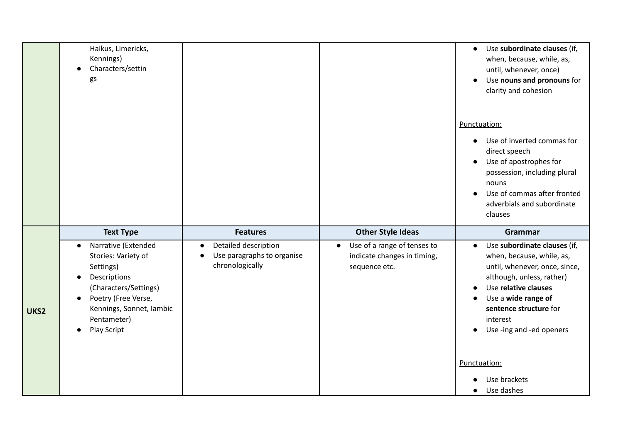|      | Haikus, Limericks,<br>Kennings)<br>Characters/settin<br>$\bullet$<br>gs                                                                                                                                                               |                                                                       |                                                                                          | Use subordinate clauses (if,<br>$\bullet$<br>when, because, while, as,<br>until, whenever, once)<br>Use nouns and pronouns for<br>$\bullet$<br>clarity and cohesion                                                                                                |
|------|---------------------------------------------------------------------------------------------------------------------------------------------------------------------------------------------------------------------------------------|-----------------------------------------------------------------------|------------------------------------------------------------------------------------------|--------------------------------------------------------------------------------------------------------------------------------------------------------------------------------------------------------------------------------------------------------------------|
|      |                                                                                                                                                                                                                                       |                                                                       |                                                                                          | Punctuation:<br>Use of inverted commas for<br>$\bullet$<br>direct speech<br>Use of apostrophes for<br>$\bullet$<br>possession, including plural<br>nouns<br>Use of commas after fronted<br>$\bullet$<br>adverbials and subordinate<br>clauses                      |
|      |                                                                                                                                                                                                                                       |                                                                       |                                                                                          |                                                                                                                                                                                                                                                                    |
|      | <b>Text Type</b>                                                                                                                                                                                                                      | <b>Features</b>                                                       | <b>Other Style Ideas</b>                                                                 | Grammar                                                                                                                                                                                                                                                            |
| UKS2 | Narrative (Extended<br>$\bullet$<br>Stories: Variety of<br>Settings)<br>Descriptions<br>$\bullet$<br>(Characters/Settings)<br>Poetry (Free Verse,<br>$\bullet$<br>Kennings, Sonnet, Iambic<br>Pentameter)<br>Play Script<br>$\bullet$ | Detailed description<br>Use paragraphs to organise<br>chronologically | Use of a range of tenses to<br>$\bullet$<br>indicate changes in timing,<br>sequence etc. | Use subordinate clauses (if,<br>$\bullet$<br>when, because, while, as,<br>until, whenever, once, since,<br>although, unless, rather)<br>Use relative clauses<br>Use a wide range of<br>sentence structure for<br>interest<br>Use -ing and -ed openers<br>$\bullet$ |
|      |                                                                                                                                                                                                                                       |                                                                       |                                                                                          | Punctuation:<br>Use brackets                                                                                                                                                                                                                                       |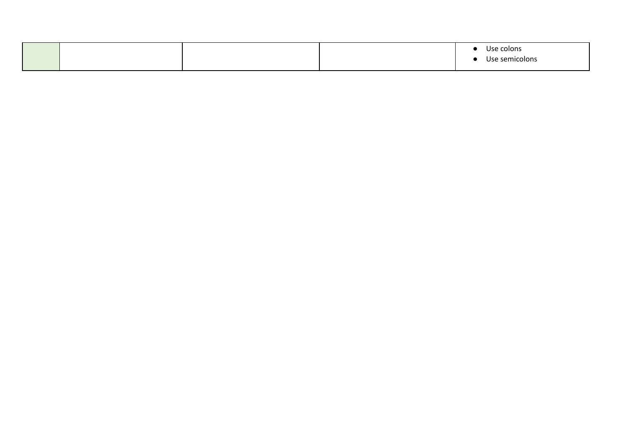|  |  | Use colons     |
|--|--|----------------|
|  |  | Use semicolons |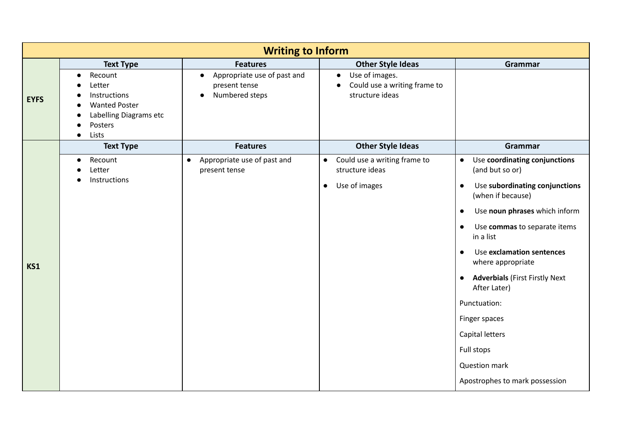|             | <b>Writing to Inform</b>                                                                                                          |                                                                             |                                                                                             |                                                                    |  |  |
|-------------|-----------------------------------------------------------------------------------------------------------------------------------|-----------------------------------------------------------------------------|---------------------------------------------------------------------------------------------|--------------------------------------------------------------------|--|--|
|             | <b>Text Type</b>                                                                                                                  | <b>Features</b>                                                             | <b>Other Style Ideas</b>                                                                    | Grammar                                                            |  |  |
| <b>EYFS</b> | Recount<br>$\bullet$<br>Letter<br>Instructions<br><b>Wanted Poster</b><br>Labelling Diagrams etc<br>Posters<br>Lists<br>$\bullet$ | Appropriate use of past and<br>$\bullet$<br>present tense<br>Numbered steps | Use of images.<br>$\bullet$<br>Could use a writing frame to<br>$\bullet$<br>structure ideas |                                                                    |  |  |
|             | <b>Text Type</b>                                                                                                                  | <b>Features</b>                                                             | <b>Other Style Ideas</b>                                                                    | Grammar                                                            |  |  |
|             | Recount<br>$\bullet$<br>Letter                                                                                                    | Appropriate use of past and<br>$\bullet$<br>present tense                   | Could use a writing frame to<br>$\bullet$<br>structure ideas                                | Use coordinating conjunctions<br>$\bullet$<br>(and but so or)      |  |  |
|             | Instructions                                                                                                                      |                                                                             | Use of images<br>$\bullet$                                                                  | Use subordinating conjunctions<br>$\bullet$<br>(when if because)   |  |  |
|             |                                                                                                                                   |                                                                             |                                                                                             | Use noun phrases which inform<br>$\bullet$                         |  |  |
|             |                                                                                                                                   |                                                                             |                                                                                             | Use commas to separate items<br>in a list                          |  |  |
| KS1         |                                                                                                                                   |                                                                             |                                                                                             | Use exclamation sentences<br>where appropriate                     |  |  |
|             |                                                                                                                                   |                                                                             |                                                                                             | <b>Adverbials (First Firstly Next</b><br>$\bullet$<br>After Later) |  |  |
|             |                                                                                                                                   |                                                                             |                                                                                             | Punctuation:                                                       |  |  |
|             |                                                                                                                                   |                                                                             |                                                                                             | Finger spaces                                                      |  |  |
|             |                                                                                                                                   |                                                                             |                                                                                             | Capital letters                                                    |  |  |
|             |                                                                                                                                   |                                                                             |                                                                                             | Full stops                                                         |  |  |
|             |                                                                                                                                   |                                                                             |                                                                                             | <b>Question mark</b>                                               |  |  |
|             |                                                                                                                                   |                                                                             |                                                                                             | Apostrophes to mark possession                                     |  |  |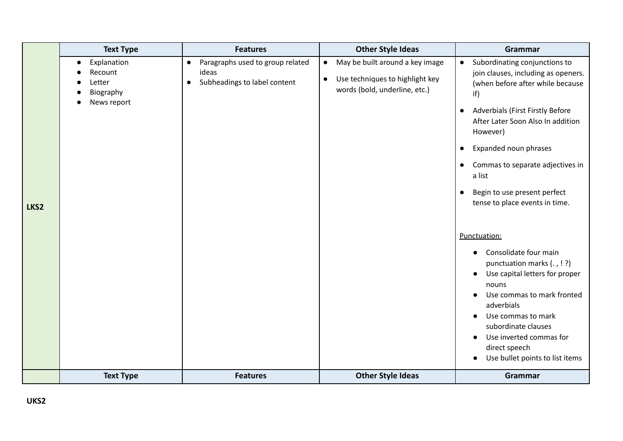|      | <b>Text Type</b>                                                          | <b>Features</b>                                                                                     | <b>Other Style Ideas</b>                                                                                                      | Grammar                                                                                                                                                                                                                                                                                                                                                                                                               |
|------|---------------------------------------------------------------------------|-----------------------------------------------------------------------------------------------------|-------------------------------------------------------------------------------------------------------------------------------|-----------------------------------------------------------------------------------------------------------------------------------------------------------------------------------------------------------------------------------------------------------------------------------------------------------------------------------------------------------------------------------------------------------------------|
| LKS2 | Explanation<br>$\bullet$<br>Recount<br>Letter<br>Biography<br>News report | Paragraphs used to group related<br>$\bullet$<br>ideas<br>Subheadings to label content<br>$\bullet$ | May be built around a key image<br>$\bullet$<br>Use techniques to highlight key<br>$\bullet$<br>words (bold, underline, etc.) | Subordinating conjunctions to<br>$\bullet$<br>join clauses, including as openers.<br>(when before after while because<br>if)<br><b>Adverbials (First Firstly Before</b><br>$\bullet$<br>After Later Soon Also In addition<br>However)<br>Expanded noun phrases<br>$\bullet$<br>Commas to separate adjectives in<br>$\bullet$<br>a list<br>Begin to use present perfect<br>$\bullet$<br>tense to place events in time. |
|      |                                                                           |                                                                                                     |                                                                                                                               | Punctuation:<br>Consolidate four main<br>$\bullet$<br>punctuation marks (., !?)<br>Use capital letters for proper<br>$\bullet$<br>nouns<br>Use commas to mark fronted<br>adverbials<br>Use commas to mark<br>$\bullet$<br>subordinate clauses<br>Use inverted commas for<br>direct speech<br>Use bullet points to list items<br>$\bullet$                                                                             |
|      | <b>Text Type</b>                                                          | <b>Features</b>                                                                                     | <b>Other Style Ideas</b>                                                                                                      | Grammar                                                                                                                                                                                                                                                                                                                                                                                                               |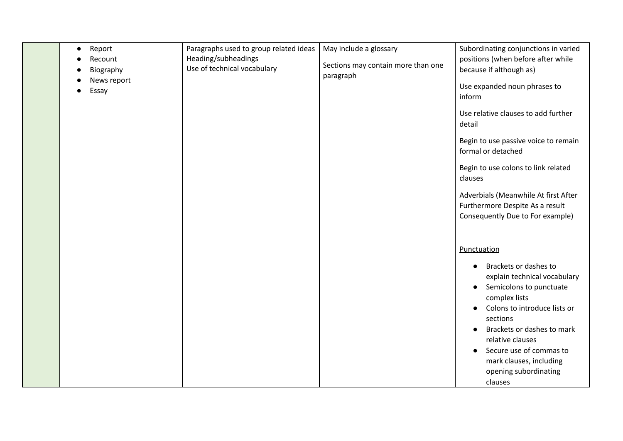| Report<br>$\bullet$<br>Recount<br>Biography<br>News report<br>Essay<br>● | Paragraphs used to group related ideas<br>Heading/subheadings<br>Use of technical vocabulary | May include a glossary<br>Sections may contain more than one<br>paragraph | Subordinating conjunctions in varied<br>positions (when before after while<br>because if although as)<br>Use expanded noun phrases to<br>inform<br>Use relative clauses to add further<br>detail<br>Begin to use passive voice to remain<br>formal or detached<br>Begin to use colons to link related<br>clauses<br>Adverbials (Meanwhile At first After<br>Furthermore Despite As a result<br>Consequently Due to For example) |
|--------------------------------------------------------------------------|----------------------------------------------------------------------------------------------|---------------------------------------------------------------------------|---------------------------------------------------------------------------------------------------------------------------------------------------------------------------------------------------------------------------------------------------------------------------------------------------------------------------------------------------------------------------------------------------------------------------------|
|                                                                          |                                                                                              |                                                                           | Punctuation<br>Brackets or dashes to<br>$\bullet$<br>explain technical vocabulary<br>Semicolons to punctuate<br>$\bullet$<br>complex lists<br>Colons to introduce lists or<br>$\bullet$<br>sections<br>Brackets or dashes to mark<br>$\bullet$<br>relative clauses<br>Secure use of commas to<br>mark clauses, including<br>opening subordinating<br>clauses                                                                    |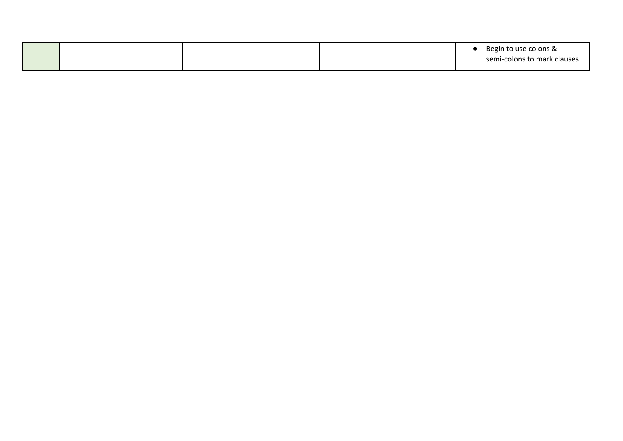|  |  | Begin to use colons &       |
|--|--|-----------------------------|
|  |  | semi-colons to mark clauses |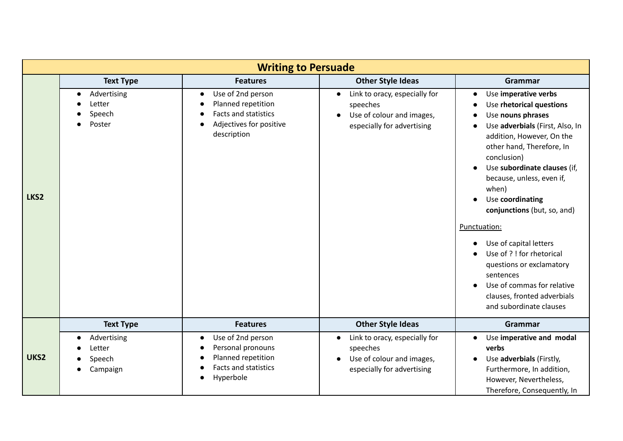|      | <b>Writing to Persuade</b>                             |                                                                                                                        |                                                                                                                   |                                                                                                                                                                                                                                                                                                                                                                                                                                                                                                                                                                                     |  |  |
|------|--------------------------------------------------------|------------------------------------------------------------------------------------------------------------------------|-------------------------------------------------------------------------------------------------------------------|-------------------------------------------------------------------------------------------------------------------------------------------------------------------------------------------------------------------------------------------------------------------------------------------------------------------------------------------------------------------------------------------------------------------------------------------------------------------------------------------------------------------------------------------------------------------------------------|--|--|
|      | <b>Text Type</b>                                       | <b>Features</b>                                                                                                        | <b>Other Style Ideas</b>                                                                                          | Grammar                                                                                                                                                                                                                                                                                                                                                                                                                                                                                                                                                                             |  |  |
| LKS2 | Advertising<br>$\bullet$<br>Letter<br>Speech<br>Poster | Use of 2nd person<br>$\bullet$<br>Planned repetition<br>Facts and statistics<br>Adjectives for positive<br>description | Link to oracy, especially for<br>$\bullet$<br>speeches<br>Use of colour and images,<br>especially for advertising | Use imperative verbs<br>$\bullet$<br>Use rhetorical questions<br>$\bullet$<br>Use nouns phrases<br>Use adverbials (First, Also, In<br>addition, However, On the<br>other hand, Therefore, In<br>conclusion)<br>Use subordinate clauses (if,<br>$\bullet$<br>because, unless, even if,<br>when)<br>Use coordinating<br>$\bullet$<br>conjunctions (but, so, and)<br>Punctuation:<br>Use of capital letters<br>Use of ? ! for rhetorical<br>questions or exclamatory<br>sentences<br>Use of commas for relative<br>$\bullet$<br>clauses, fronted adverbials<br>and subordinate clauses |  |  |
|      | <b>Text Type</b>                                       | <b>Features</b>                                                                                                        | <b>Other Style Ideas</b>                                                                                          | Grammar                                                                                                                                                                                                                                                                                                                                                                                                                                                                                                                                                                             |  |  |
| UKS2 | Advertising<br>Letter<br>Speech<br>Campaign            | Use of 2nd person<br>$\bullet$<br>Personal pronouns<br>Planned repetition<br>0<br>Facts and statistics<br>Hyperbole    | Link to oracy, especially for<br>$\bullet$<br>speeches<br>Use of colour and images,<br>especially for advertising | Use imperative and modal<br>$\bullet$<br>verbs<br>Use adverbials (Firstly,<br>$\bullet$<br>Furthermore, In addition,<br>However, Nevertheless,<br>Therefore, Consequently, In                                                                                                                                                                                                                                                                                                                                                                                                       |  |  |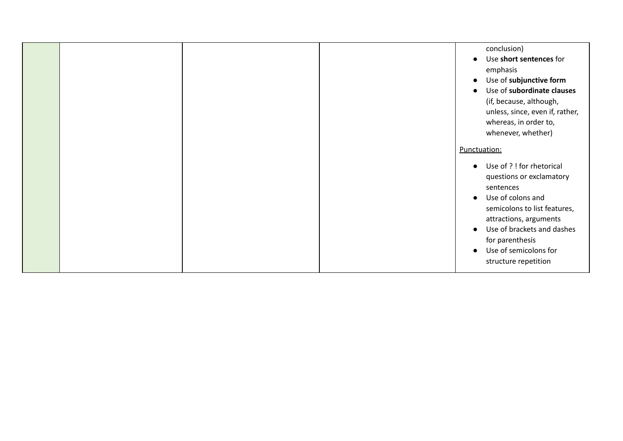|  |  | conclusion)<br>Use short sentences for<br>$\bullet$<br>emphasis<br>Use of subjunctive form<br>$\bullet$<br>Use of subordinate clauses<br>(if, because, although,<br>unless, since, even if, rather,<br>whereas, in order to,<br>whenever, whether)                                                      |
|--|--|---------------------------------------------------------------------------------------------------------------------------------------------------------------------------------------------------------------------------------------------------------------------------------------------------------|
|  |  | Punctuation:                                                                                                                                                                                                                                                                                            |
|  |  | Use of ? ! for rhetorical<br>$\bullet$<br>questions or exclamatory<br>sentences<br>Use of colons and<br>$\bullet$<br>semicolons to list features,<br>attractions, arguments<br>Use of brackets and dashes<br>$\bullet$<br>for parenthesis<br>Use of semicolons for<br>$\bullet$<br>structure repetition |